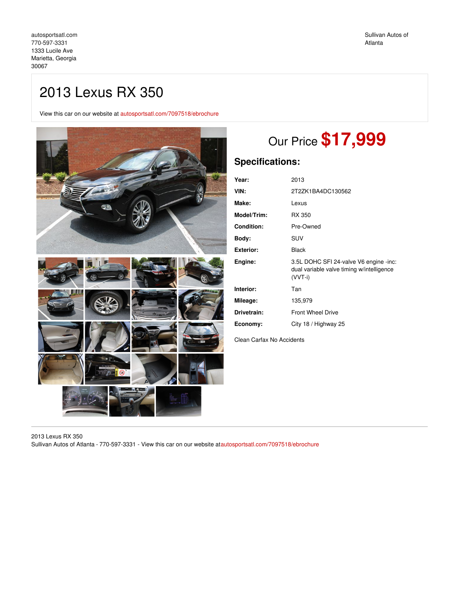## 2013 Lexus RX 350

View this car on our website at [autosportsatl.com/7097518/ebrochure](https://autosportsatl.com/vehicle/7097518/2013-lexus-rx-350-marietta-georgia-30067/7097518/ebrochure)



# Our Price **\$17,999**

## **Specifications:**

| Year:             | 2013                                                                                           |
|-------------------|------------------------------------------------------------------------------------------------|
| VIN:              | 2T2ZK1BA4DC130562                                                                              |
| Make:             | Lexus                                                                                          |
| Model/Trim:       | RX 350                                                                                         |
| <b>Condition:</b> | Pre-Owned                                                                                      |
| Body:             | SUV                                                                                            |
| <b>Exterior:</b>  | Black                                                                                          |
| Engine:           | 3.5L DOHC SFI 24-valve V6 engine -inc:<br>dual variable valve timing w/intelligence<br>(VVT-i) |
| Interior:         | Tan                                                                                            |
| Mileage:          | 135,979                                                                                        |
| Drivetrain:       | <b>Front Wheel Drive</b>                                                                       |
| Economy:          | City 18 / Highway 25                                                                           |

Clean Carfax No Accidents

2013 Lexus RX 350 Sullivan Autos of Atlanta - 770-597-3331 - View this car on our website a[tautosportsatl.com/7097518/ebrochure](https://autosportsatl.com/vehicle/7097518/2013-lexus-rx-350-marietta-georgia-30067/7097518/ebrochure)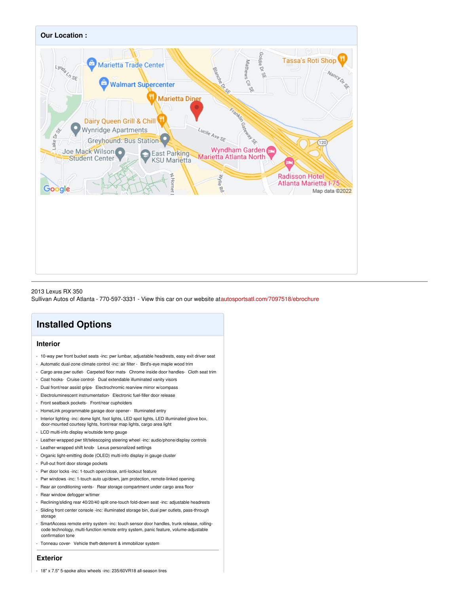

#### 2013 Lexus RX 350

Sullivan Autos of Atlanta - 770-597-3331 - View this car on our website a[tautosportsatl.com/7097518/ebrochure](https://autosportsatl.com/vehicle/7097518/2013-lexus-rx-350-marietta-georgia-30067/7097518/ebrochure)

## **Installed Options**

## **Interior**

- 10-way pwr front bucket seats -inc: pwr lumbar, adjustable headrests, easy exit driver seat
- Automatic dual-zone climate control -inc: air filter Bird's-eye maple wood trim
- Cargo area pwr outlet- Carpeted floor mats- Chrome inside door handles- Cloth seat trim
- Coat hooks- Cruise control- Dual extendable illuminated vanity visors
- Dual front/rear assist grips- Electrochromic rearview mirror w/compass
- Electroluminescent instrumentation- Electronic fuel-filler door release
- Front seatback pockets- Front/rear cupholders
- HomeLink programmable garage door opener- Illuminated entry
- Interior lighting -inc: dome light, foot lights, LED spot lights, LED illuminated glove box, door-mounted courtesy lights, front/rear map lights, cargo area light
- LCD multi-info display w/outside temp gauge
- Leather-wrapped pwr tilt/telescoping steering wheel -inc: audio/phone/display controls
- Leather-wrapped shift knob- Lexus personalized settings
- Organic light-emitting diode (OLED) multi-info display in gauge cluster
- Pull-out front door storage pockets
- Pwr door locks -inc: 1-touch open/close, anti-lockout feature
- Pwr windows -inc: 1-touch auto up/down, jam protection, remote-linked opening
- Rear air conditioning vents- Rear storage compartment under cargo area floor
- Rear window defogger w/timer
- Reclining/sliding rear 40/20/40 split one-touch fold-down seat -inc: adjustable headrests
- Sliding front center console -inc: illuminated storage bin, dual pwr outlets, pass-through storage
- SmartAccess remote entry system -inc: touch sensor door handles, trunk release, rollingcode technology, multi-function remote entry system, panic feature, volume-adjustable confirmation tone
- Tonneau cover- Vehicle theft-deterrent & immobilizer system

## **Exterior**

- 18" x 7.5" 5-spoke alloy wheels -inc: 235/60VR18 all-season tires